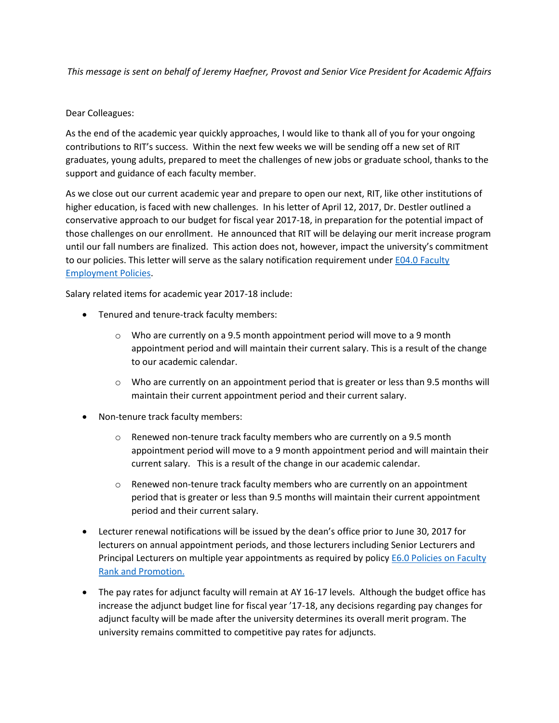*This message is sent on behalf of Jeremy Haefner, Provost and Senior Vice President for Academic Affairs*

## Dear Colleagues:

As the end of the academic year quickly approaches, I would like to thank all of you for your ongoing contributions to RIT's success. Within the next few weeks we will be sending off a new set of RIT graduates, young adults, prepared to meet the challenges of new jobs or graduate school, thanks to the support and guidance of each faculty member.

As we close out our current academic year and prepare to open our next, RIT, like other institutions of higher education, is faced with new challenges. In his letter of April 12, 2017, Dr. Destler outlined a conservative approach to our budget for fiscal year 2017-18, in preparation for the potential impact of those challenges on our enrollment. He announced that RIT will be delaying our merit increase program until our fall numbers are finalized. This action does not, however, impact the university's commitment to our policies. This letter will serve as the salary notification requirement under E04.0 Faculty [Employment Policies.](https://www.rit.edu/academicaffairs/policiesmanual/e040)

Salary related items for academic year 2017-18 include:

- Tenured and tenure-track faculty members:
	- $\circ$  Who are currently on a 9.5 month appointment period will move to a 9 month appointment period and will maintain their current salary. This is a result of the change to our academic calendar.
	- $\circ$  Who are currently on an appointment period that is greater or less than 9.5 months will maintain their current appointment period and their current salary.
- Non-tenure track faculty members:
	- o Renewed non-tenure track faculty members who are currently on a 9.5 month appointment period will move to a 9 month appointment period and will maintain their current salary. This is a result of the change in our academic calendar.
	- $\circ$  Renewed non-tenure track faculty members who are currently on an appointment period that is greater or less than 9.5 months will maintain their current appointment period and their current salary.
- Lecturer renewal notifications will be issued by the dean's office prior to June 30, 2017 for lecturers on annual appointment periods, and those lecturers including Senior Lecturers and Principal Lecturers on multiple year appointments as required by policy [E6.0 Policies on Faculty](https://www.rit.edu/academicaffairs/policiesmanual/e060)  [Rank and Promotion.](https://www.rit.edu/academicaffairs/policiesmanual/e060)
- The pay rates for adjunct faculty will remain at AY 16-17 levels. Although the budget office has increase the adjunct budget line for fiscal year '17-18, any decisions regarding pay changes for adjunct faculty will be made after the university determines its overall merit program. The university remains committed to competitive pay rates for adjuncts.